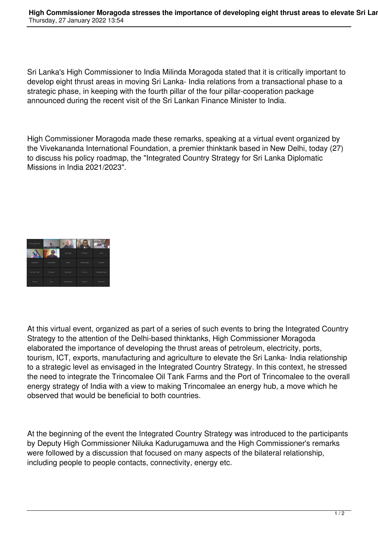Sri Lanka's High Commissioner to India Milinda Moragoda stated that it is critically important to develop eight thrust areas in moving Sri Lanka- India relations from a transactional phase to a strategic phase, in keeping with the fourth pillar of the four pillar-cooperation package announced during the recent visit of the Sri Lankan Finance Minister to India.

High Commissioner Moragoda made these remarks, speaking at a virtual event organized by the Vivekananda International Foundation, a premier thinktank based in New Delhi, today (27) to discuss his policy roadmap, the "Integrated Country Strategy for Sri Lanka Diplomatic Missions in India 2021/2023".



At this virtual event, organized as part of a series of such events to bring the Integrated Country Strategy to the attention of the Delhi-based thinktanks, High Commissioner Moragoda elaborated the importance of developing the thrust areas of petroleum, electricity, ports, tourism, ICT, exports, manufacturing and agriculture to elevate the Sri Lanka- India relationship to a strategic level as envisaged in the Integrated Country Strategy. In this context, he stressed the need to integrate the Trincomalee Oil Tank Farms and the Port of Trincomalee to the overall energy strategy of India with a view to making Trincomalee an energy hub, a move which he observed that would be beneficial to both countries.

At the beginning of the event the Integrated Country Strategy was introduced to the participants by Deputy High Commissioner Niluka Kadurugamuwa and the High Commissioner's remarks were followed by a discussion that focused on many aspects of the bilateral relationship, including people to people contacts, connectivity, energy etc.